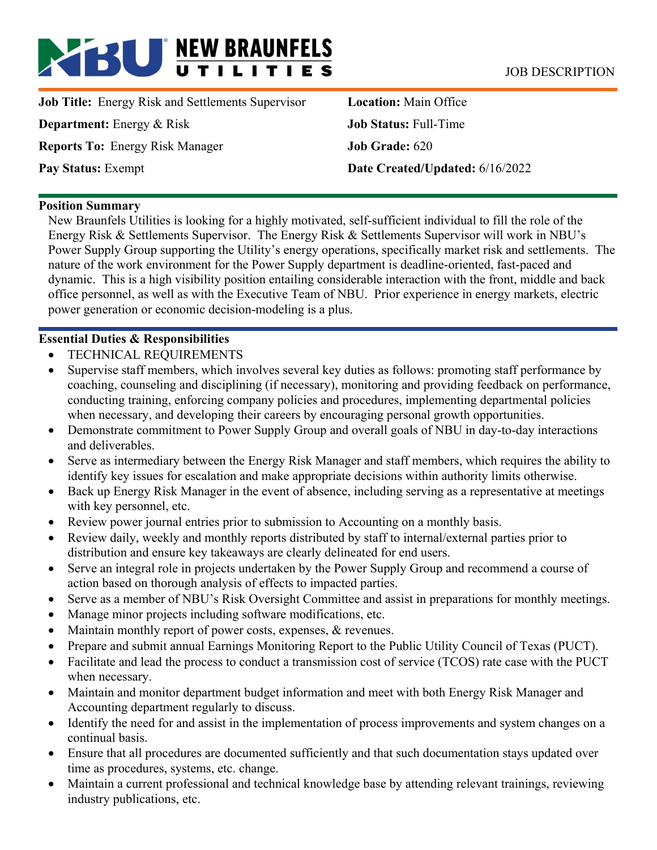# **BU** NEW BRAUNFELS JOB DESCRIPTION

**Job Title:** Energy Risk and Settlements Supervisor **Department:** Energy & Risk **Reports To:** Energy Risk Manager **Pay Status:** Exempt

**Location:** Main Office **Job Status:** Full-Time **Job Grade:** 620 **Date Created/Updated:** 6/16/2022

#### **Position Summary**

New Braunfels Utilities is looking for a highly motivated, self-sufficient individual to fill the role of the Energy Risk & Settlements Supervisor. The Energy Risk & Settlements Supervisor will work in NBU's Power Supply Group supporting the Utility's energy operations, specifically market risk and settlements. The nature of the work environment for the Power Supply department is deadline-oriented, fast-paced and dynamic. This is a high visibility position entailing considerable interaction with the front, middle and back office personnel, as well as with the Executive Team of NBU. Prior experience in energy markets, electric power generation or economic decision-modeling is a plus.

## **Essential Duties & Responsibilities**

- TECHNICAL REQUIREMENTS
- Supervise staff members, which involves several key duties as follows: promoting staff performance by coaching, counseling and disciplining (if necessary), monitoring and providing feedback on performance, conducting training, enforcing company policies and procedures, implementing departmental policies when necessary, and developing their careers by encouraging personal growth opportunities.
- Demonstrate commitment to Power Supply Group and overall goals of NBU in day-to-day interactions and deliverables.
- Serve as intermediary between the Energy Risk Manager and staff members, which requires the ability to identify key issues for escalation and make appropriate decisions within authority limits otherwise.
- Back up Energy Risk Manager in the event of absence, including serving as a representative at meetings with key personnel, etc.
- Review power journal entries prior to submission to Accounting on a monthly basis.
- Review daily, weekly and monthly reports distributed by staff to internal/external parties prior to distribution and ensure key takeaways are clearly delineated for end users.
- Serve an integral role in projects undertaken by the Power Supply Group and recommend a course of action based on thorough analysis of effects to impacted parties.
- Serve as a member of NBU's Risk Oversight Committee and assist in preparations for monthly meetings.
- Manage minor projects including software modifications, etc.
- Maintain monthly report of power costs, expenses, & revenues.
- Prepare and submit annual Earnings Monitoring Report to the Public Utility Council of Texas (PUCT).
- Facilitate and lead the process to conduct a transmission cost of service (TCOS) rate case with the PUCT when necessary.
- Maintain and monitor department budget information and meet with both Energy Risk Manager and Accounting department regularly to discuss.
- Identify the need for and assist in the implementation of process improvements and system changes on a continual basis.
- Ensure that all procedures are documented sufficiently and that such documentation stays updated over time as procedures, systems, etc. change.
- Maintain a current professional and technical knowledge base by attending relevant trainings, reviewing industry publications, etc.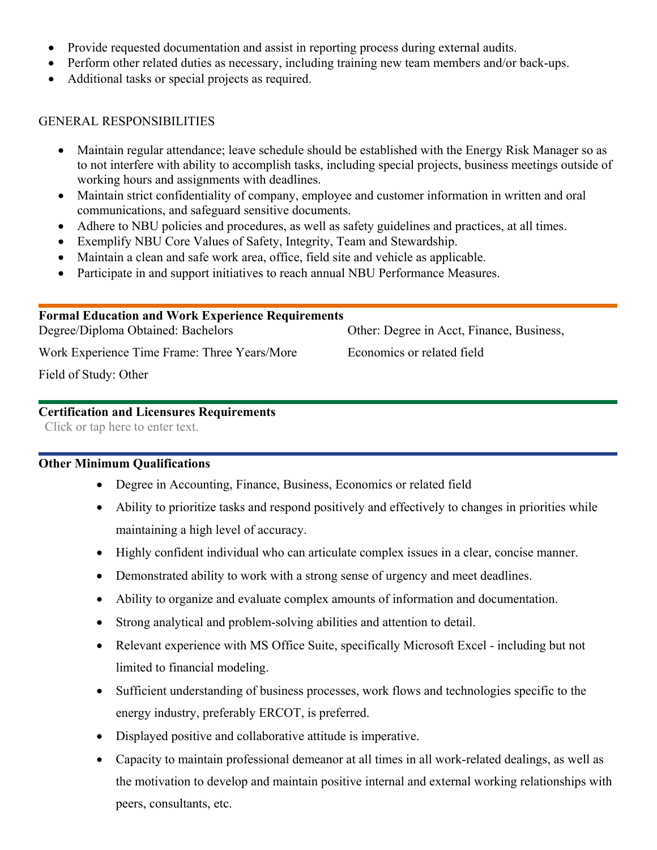- Provide requested documentation and assist in reporting process during external audits.
- Perform other related duties as necessary, including training new team members and/or back-ups.
- Additional tasks or special projects as required.

## GENERAL RESPONSIBILITIES

- Maintain regular attendance; leave schedule should be established with the Energy Risk Manager so as to not interfere with ability to accomplish tasks, including special projects, business meetings outside of working hours and assignments with deadlines.
- Maintain strict confidentiality of company, employee and customer information in written and oral communications, and safeguard sensitive documents.
- Adhere to NBU policies and procedures, as well as safety guidelines and practices, at all times.
- Exemplify NBU Core Values of Safety, Integrity, Team and Stewardship.
- Maintain a clean and safe work area, office, field site and vehicle as applicable.
- Participate in and support initiatives to reach annual NBU Performance Measures.

| <b>Formal Education and Work Experience Requirements</b> |                                           |  |  |  |  |  |
|----------------------------------------------------------|-------------------------------------------|--|--|--|--|--|
| Degree/Diploma Obtained: Bachelors                       | Other: Degree in Acct, Finance, Business, |  |  |  |  |  |
| Work Experience Time Frame: Three Years/More             | Economics or related field                |  |  |  |  |  |

Field of Study: Other

## **Certification and Licensures Requirements**

Click or tap here to enter text.

## **Other Minimum Qualifications**

- Degree in Accounting, Finance, Business, Economics or related field
- Ability to prioritize tasks and respond positively and effectively to changes in priorities while maintaining a high level of accuracy.
- Highly confident individual who can articulate complex issues in a clear, concise manner.
- Demonstrated ability to work with a strong sense of urgency and meet deadlines.
- Ability to organize and evaluate complex amounts of information and documentation.
- Strong analytical and problem-solving abilities and attention to detail.
- Relevant experience with MS Office Suite, specifically Microsoft Excel including but not limited to financial modeling.
- Sufficient understanding of business processes, work flows and technologies specific to the energy industry, preferably ERCOT, is preferred.
- Displayed positive and collaborative attitude is imperative.
- Capacity to maintain professional demeanor at all times in all work-related dealings, as well as the motivation to develop and maintain positive internal and external working relationships with peers, consultants, etc.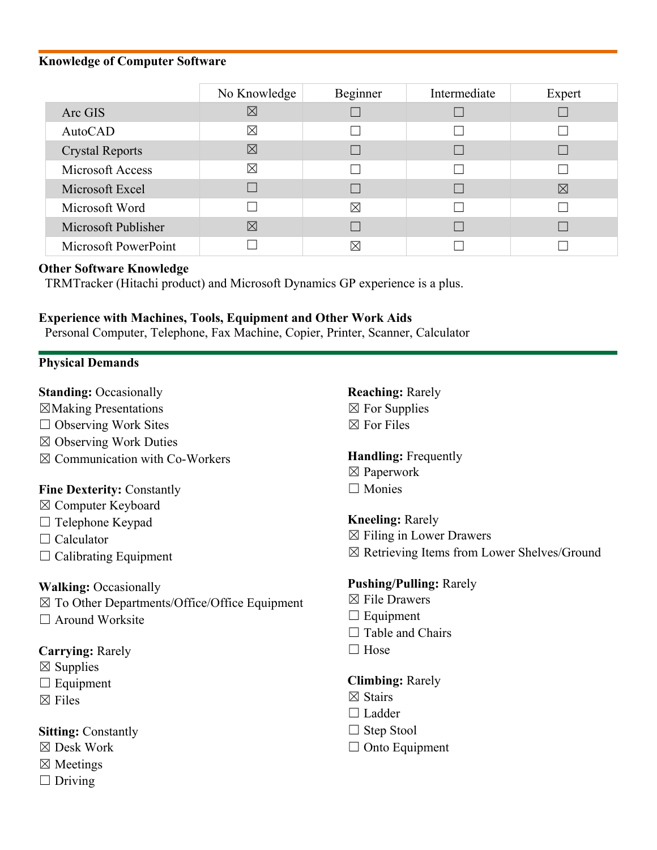#### **Knowledge of Computer Software**

|                        | No Knowledge | Beginner    | Intermediate | Expert |
|------------------------|--------------|-------------|--------------|--------|
| Arc GIS                | $\boxtimes$  |             |              |        |
| AutoCAD                | $\boxtimes$  |             |              |        |
| <b>Crystal Reports</b> | $\boxtimes$  |             |              |        |
| Microsoft Access       | X            |             |              |        |
| Microsoft Excel        |              |             |              | ⊠      |
| Microsoft Word         |              | $\boxtimes$ |              |        |
| Microsoft Publisher    | $\boxtimes$  |             |              |        |
| Microsoft PowerPoint   |              | ⊠           |              |        |

#### **Other Software Knowledge**

TRMTracker (Hitachi product) and Microsoft Dynamics GP experience is a plus.

#### **Experience with Machines, Tools, Equipment and Other Work Aids**

Personal Computer, Telephone, Fax Machine, Copier, Printer, Scanner, Calculator

## **Physical Demands**

**Standing:** Occasionally

- ☒Making Presentations
- $\Box$  Observing Work Sites
- ☒ Observing Work Duties
- ☒ Communication with Co-Workers

## **Fine Dexterity:** Constantly

- ☒ Computer Keyboard
- □ Telephone Keypad
- □ Calculator
- $\Box$  Calibrating Equipment

## **Walking:** Occasionally

- $\boxtimes$  To Other Departments/Office/Office Equipment
- □ Around Worksite

## **Carrying:** Rarely

- $\boxtimes$  Supplies
- $\Box$  Equipment
- ☒ Files

**Sitting:** Constantly

- ☒ Desk Work
- ☒ Meetings
- $\Box$  Driving

**Reaching:** Rarely  $\boxtimes$  For Supplies ☒ For Files

## **Handling:** Frequently

- ☒ Paperwork
- □ Monies

## **Kneeling:** Rarely

- $\boxtimes$  Filing in Lower Drawers
- ☒ Retrieving Items from Lower Shelves/Ground

## **Pushing/Pulling:** Rarely

- ☒ File Drawers
- $\Box$  Equipment
- $\Box$  Table and Chairs
- □ Hose

## **Climbing:** Rarely

- ☒ Stairs
- □ Ladder
- $\Box$  Step Stool
- □ Onto Equipment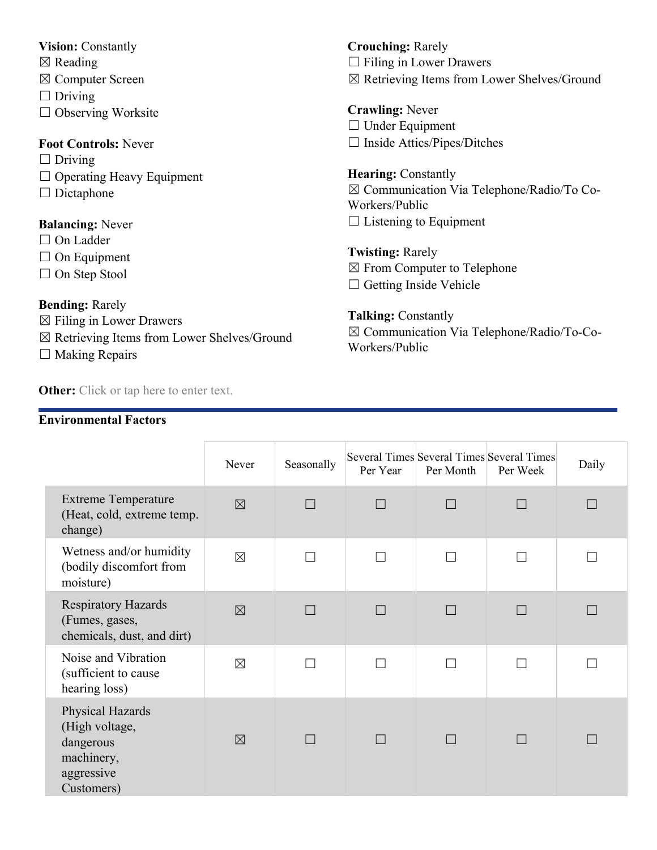## **Vision:** Constantly

- ☒ Reading
- ☒ Computer Screen
- $\Box$  Driving
- ☐ Observing Worksite

## **Foot Controls:** Never

- $\Box$  Driving
- ☐ Operating Heavy Equipment
- □ Dictaphone

## **Balancing:** Never

- □ On Ladder
- □ On Equipment
- ☐ On Step Stool

## **Bending:** Rarely

- ☒ Filing in Lower Drawers
- ☒ Retrieving Items from Lower Shelves/Ground
- $\Box$  Making Repairs

**Other:** Click or tap here to enter text.

## **Environmental Factors**

**Crouching:** Rarely  $\Box$  Filing in Lower Drawers ☒ Retrieving Items from Lower Shelves/Ground

**Crawling:** Never □ Under Equipment ☐ Inside Attics/Pipes/Ditches

**Hearing:** Constantly ☒ Communication Via Telephone/Radio/To Co-Workers/Public  $\Box$  Listening to Equipment

**Twisting:** Rarely ☒ From Computer to Telephone  $\Box$  Getting Inside Vehicle

**Talking:** Constantly ☒ Communication Via Telephone/Radio/To-Co-Workers/Public

|                                                                                           | Never       | Seasonally               | Per Year | Per Month | <b>Several Times Several Times Several Times</b><br>Per Week | Daily |
|-------------------------------------------------------------------------------------------|-------------|--------------------------|----------|-----------|--------------------------------------------------------------|-------|
| <b>Extreme Temperature</b><br>(Heat, cold, extreme temp.<br>change)                       | $\boxtimes$ | $\overline{\phantom{a}}$ |          |           |                                                              |       |
| Wetness and/or humidity<br>(bodily discomfort from<br>moisture)                           | $\boxtimes$ |                          |          |           |                                                              |       |
| <b>Respiratory Hazards</b><br>(Fumes, gases,<br>chemicals, dust, and dirt)                | $\boxtimes$ | $\mathbf{L}$             |          |           |                                                              |       |
| Noise and Vibration<br>(sufficient to cause<br>hearing loss)                              | $\boxtimes$ |                          | $\Box$   |           |                                                              |       |
| Physical Hazards<br>(High voltage,<br>dangerous<br>machinery,<br>aggressive<br>Customers) | $\boxtimes$ | $\Box$                   | ш        |           |                                                              |       |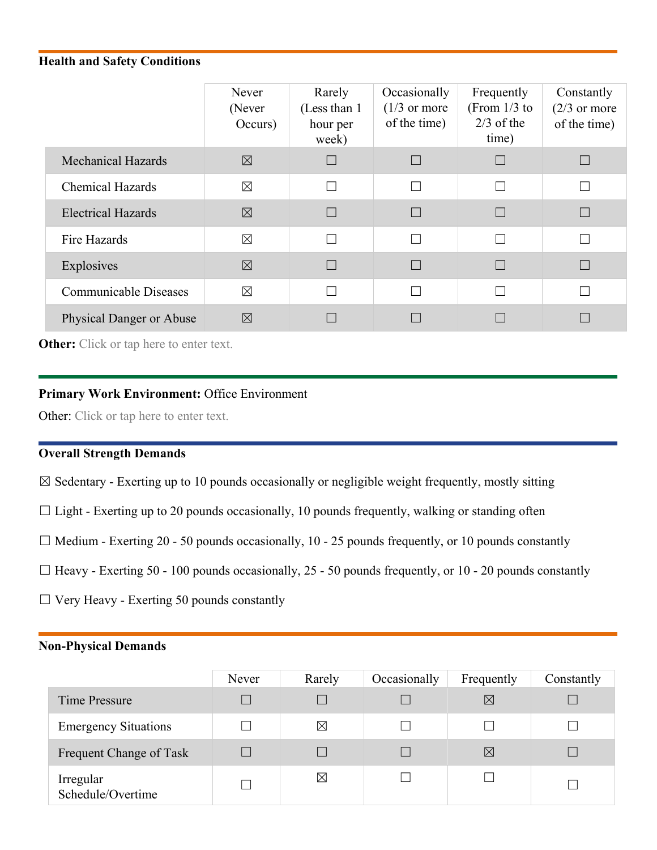## **Health and Safety Conditions**

|                                 | Never<br>(Never<br>Occurs) | Rarely<br>(Less than 1)<br>hour per<br>week) | Occasionally<br>$(1/3 \text{ or more})$<br>of the time) | Frequently<br>(From $1/3$ to<br>$2/3$ of the<br>time) | Constantly<br>$(2/3)$ or more<br>of the time) |
|---------------------------------|----------------------------|----------------------------------------------|---------------------------------------------------------|-------------------------------------------------------|-----------------------------------------------|
| <b>Mechanical Hazards</b>       | $\boxtimes$                |                                              |                                                         | $\Box$                                                |                                               |
| <b>Chemical Hazards</b>         | $\boxtimes$                |                                              | П                                                       | П                                                     |                                               |
| <b>Electrical Hazards</b>       | $\boxtimes$                |                                              |                                                         | $\Box$                                                |                                               |
| Fire Hazards                    | $\boxtimes$                | $\Box$                                       | П                                                       | $\Box$                                                |                                               |
| Explosives                      | $\boxtimes$                |                                              |                                                         |                                                       |                                               |
| <b>Communicable Diseases</b>    | $\boxtimes$                |                                              | П                                                       |                                                       |                                               |
| <b>Physical Danger or Abuse</b> | $\boxtimes$                |                                              |                                                         |                                                       |                                               |

**Other:** Click or tap here to enter text.

#### **Primary Work Environment:** Office Environment

Other: Click or tap here to enter text.

## **Overall Strength Demands**

 $\boxtimes$  Sedentary - Exerting up to 10 pounds occasionally or negligible weight frequently, mostly sitting

- $\Box$  Light Exerting up to 20 pounds occasionally, 10 pounds frequently, walking or standing often
- $\Box$  Medium Exerting 20 50 pounds occasionally, 10 25 pounds frequently, or 10 pounds constantly
- $\Box$  Heavy Exerting 50 100 pounds occasionally, 25 50 pounds frequently, or 10 20 pounds constantly
- $\Box$  Very Heavy Exerting 50 pounds constantly

#### **Non-Physical Demands**

|                                | Never | Rarely      | Occasionally | Frequently  | Constantly |
|--------------------------------|-------|-------------|--------------|-------------|------------|
| Time Pressure                  |       |             |              | $\ltimes$   |            |
| <b>Emergency Situations</b>    |       | ⊠           |              |             |            |
| Frequent Change of Task        |       |             |              | $\boxtimes$ |            |
| Irregular<br>Schedule/Overtime |       | $\boxtimes$ |              |             |            |